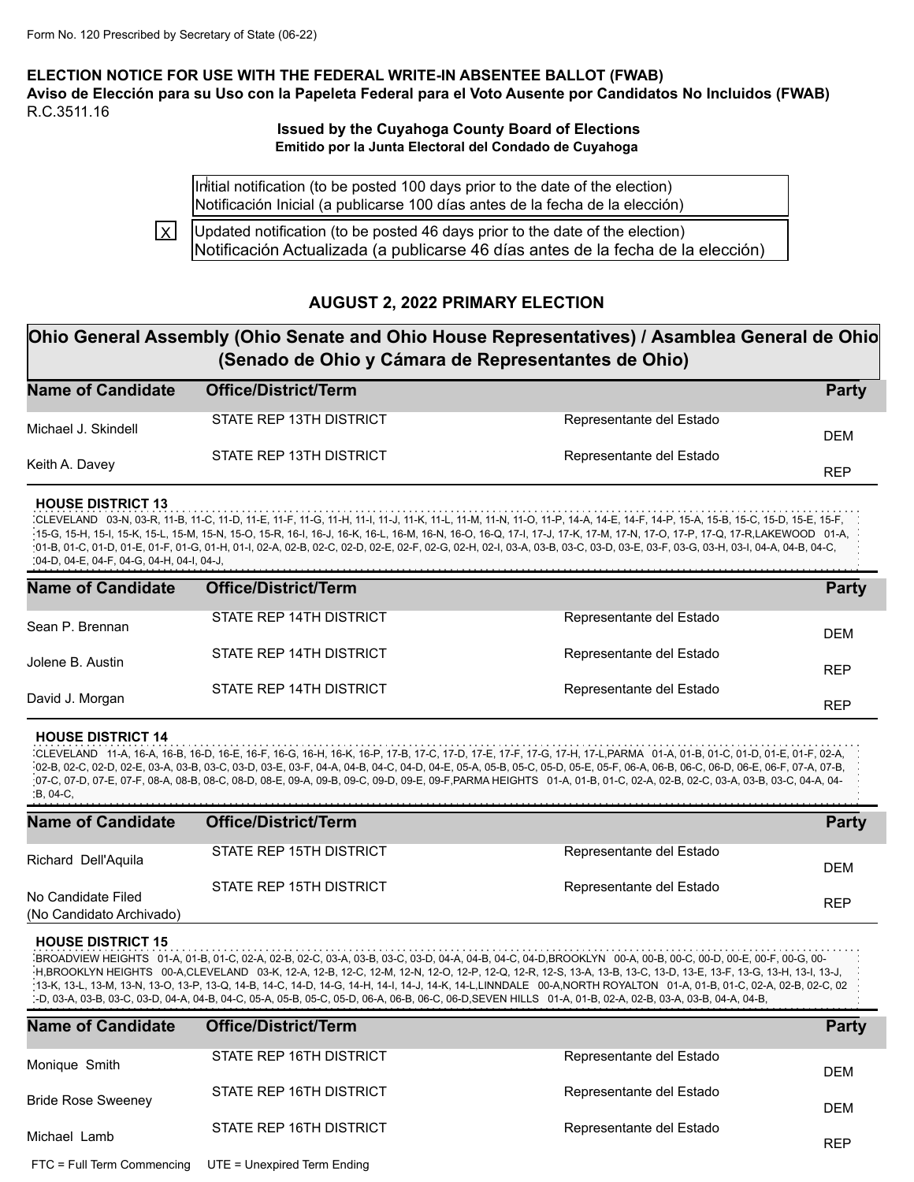**ELECTION NOTICE FOR USE WITH THE FEDERAL WRITE-IN ABSENTEE BALLOT (FWAB)** Aviso de Elección para su Uso con la Papeleta Federal para el Voto Ausente por Candidatos No Incluidos (FWAB) R.C.3511.16

### **Issued by the Cuyahoga County Board of Elections Emitido por la Junta Electoral del Condado de Cuyahoga**

Initial notification (to be posted 100 days prior to the date of the election) Notificación Inicial (a publicarse 100 días antes de la fecha de la elección)

Updated notification (to be posted 46 days prior to the date of the election) Notificación Actualizada (a publicarse 46 días antes de la fecha de la elección) lxI

## **AUGUST 2, 2022 PRIMARY ELECTION**

# **Ohio General Assembly (Ohio Senate and Ohio House Representatives) / Asamblea General de Ohio (Senado de Ohio y Cámara de Representantes de Ohio)**

| <b>Name of Candidate</b> | <b>Office/District/Term</b> |                          | <b>Party</b> |
|--------------------------|-----------------------------|--------------------------|--------------|
| Michael J. Skindell      | STATE REP 13TH DISTRICT     | Representante del Estado | <b>DEM</b>   |
| Keith A. Davey           | STATE REP 13TH DISTRICT     | Representante del Estado | <b>REP</b>   |

#### **HOUSE DISTRICT 13**

CLEVELAND 03-N, 03-R, 11-B, 11-C, 11-D, 11-E, 11-F, 11-G, 11-H, 11-I, 11-J, 11-K, 11-L, 11-M, 11-N, 11-O, 11-P, 14-A, 14-E, 14-F, 14-P, 15-A, 15-B, 15-C, 15-D, 15-E, 15-F, 15-G, 15-H, 15-I, 15-K, 15-L, 15-M, 15-N, 15-O, 15-R, 16-I, 16-J, 16-K, 16-L, 16-M, 16-N, 16-O, 16-Q, 17-I, 17-J, 17-K, 17-M, 17-N, 17-O, 17-P, 17-Q, 17-R,LAKEWOOD 01-A, 01-B, 01-C, 01-D, 01-E, 01-F, 01-G, 01-H, 01-I, 02-A, 02-B, 02-C, 02-D, 02-E, 02-F, 02-G, 02-H, 02-I, 03-A, 03-B, 03-C, 03-D, 03-E, 03-F, 03-G, 03-H, 03-I, 04-A, 04-B, 04-C, 04-D, 04-E, 04-F, 04-G, 04-H, 04-I, 04-J,

| <b>Name of Candidate</b> | <b>Office/District/Term</b> |                          | <b>Party</b> |
|--------------------------|-----------------------------|--------------------------|--------------|
| Sean P. Brennan          | STATE REP 14TH DISTRICT     | Representante del Estado | <b>DEM</b>   |
| Jolene B. Austin         | STATE REP 14TH DISTRICT     | Representante del Estado | <b>REP</b>   |
| David J. Morgan          | STATE REP 14TH DISTRICT     | Representante del Estado | <b>REP</b>   |

#### **HOUSE DISTRICT 14**

CLEVELAND 11-A, 16-A, 16-B, 16-D, 16-E, 16-F, 16-G, 16-H, 16-K, 16-P, 17-B, 17-C, 17-D, 17-E, 17-F, 17-G, 17-H, 17-L,PARMA 01-A, 01-B, 01-C, 01-D, 01-E, 01-F, 02-A, 02-B, 02-C, 02-D, 02-E, 03-A, 03-B, 03-C, 03-D, 03-E, 03-F, 04-A, 04-B, 04-C, 04-D, 04-E, 05-A, 05-B, 05-C, 05-D, 05-E, 05-F, 06-A, 06-B, 06-C, 06-D, 06-E, 06-F, 07-A, 07-B, 07-C, 07-D, 07-E, 07-F, 08-A, 08-B, 08-C, 08-D, 08-E, 09-A, 09-B, 09-C, 09-D, 09-E, 09-F,PARMA HEIGHTS 01-A, 01-B, 01-C, 02-A, 02-B, 02-C, 03-A, 03-B, 03-C, 04-A, 04- B, 04-C,

| <b>Name of Candidate</b>                       | <b>Office/District/Term</b> |                          | <b>Party</b> |
|------------------------------------------------|-----------------------------|--------------------------|--------------|
| Richard Dell'Aquila                            | STATE REP 15TH DISTRICT     | Representante del Estado | <b>DEM</b>   |
| No Candidate Filed<br>(No Candidato Archivado) | STATE REP 15TH DISTRICT     | Representante del Estado | <b>REP</b>   |

#### **HOUSE DISTRICT 15**

BROADVIEW HEIGHTS 01-A, 01-B, 01-C, 02-A, 02-B, 02-C, 03-A, 03-B, 03-C, 03-D, 04-A, 04-B, 04-C, 04-D,BROOKLYN 00-A, 00-B, 00-C, 00-D, 00-E, 00-F, 00-G, 00- H,BROOKLYN HEIGHTS 00-A,CLEVELAND 03-K, 12-A, 12-B, 12-C, 12-M, 12-N, 12-O, 12-P, 12-Q, 12-R, 12-S, 13-A, 13-B, 13-C, 13-D, 13-E, 13-F, 13-G, 13-H, 13-I, 13-J, 13-K, 13-L, 13-M, 13-N, 13-O, 13-P, 13-Q, 14-B, 14-C, 14-D, 14-G, 14-H, 14-I, 14-J, 14-K, 14-L,LINNDALE 00-A,NORTH ROYALTON 01-A, 01-B, 01-C, 02-A, 02-B, 02-C, 02 -D, 03-A, 03-B, 03-C, 03-D, 04-A, 04-B, 04-C, 05-A, 05-B, 05-C, 05-D, 06-A, 06-B, 06-C, 06-D,SEVEN HILLS 01-A, 01-B, 02-A, 02-B, 03-A, 03-B, 04-A, 04-B,

| <b>Name of Candidate</b>   | <b>Office/District/Term</b> |                          | <b>Party</b> |
|----------------------------|-----------------------------|--------------------------|--------------|
| Monique Smith              | STATE REP 16TH DISTRICT     | Representante del Estado | <b>DEM</b>   |
| <b>Bride Rose Sweeney</b>  | STATE REP 16TH DISTRICT     | Representante del Estado | <b>DEM</b>   |
| Michael Lamb               | STATE REP 16TH DISTRICT     | Representante del Estado | <b>REP</b>   |
| FTC = Full Term Commencing | UTE = Unexpired Term Ending |                          |              |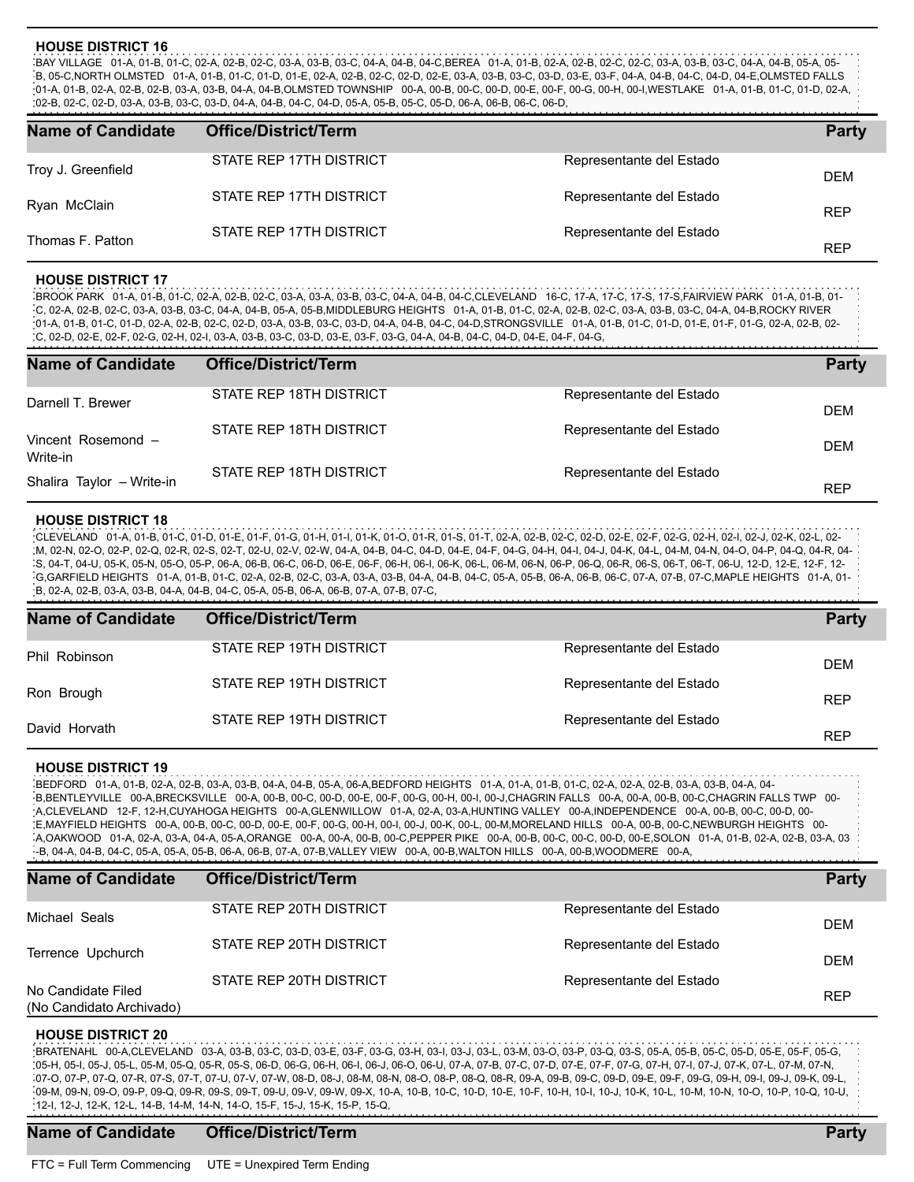#### **HOUSE DISTRICT 16**

BAY VILLAGE 01-A, 01-B, 01-C, 02-A, 02-B, 02-C, 03-A, 03-B, 03-C, 04-A, 04-B, 04-C,BEREA 01-A, 01-B, 02-A, 02-B, 02-C, 02-C, 03-A, 03-B, 03-C, 04-A, 04-B, 05-A, 05- B, 05-C,NORTH OLMSTED 01-A, 01-B, 01-C, 01-D, 01-E, 02-A, 02-B, 02-C, 02-D, 02-E, 03-A, 03-B, 03-C, 03-D, 03-E, 03-F, 04-A, 04-B, 04-C, 04-D, 04-E,OLMSTED FALLS 01-A, 01-B, 02-A, 02-B, 02-B, 03-A, 03-B, 04-A, 04-B,OLMSTED TOWNSHIP 00-A, 00-B, 00-C, 00-D, 00-E, 00-F, 00-G, 00-H, 00-I,WESTLAKE 01-A, 01-B, 01-C, 01-D, 02-A, 02-B, 02-C, 02-D, 03-A, 03-B, 03-C, 03-D, 04-A, 04-B, 04-C, 04-D, 05-A, 05-B, 05-C, 05-D, 06-A, 06-B, 06-C, 06-D,

| <b>Name of Candidate</b> | <b>Office/District/Term</b> |                          | <b>Party</b> |
|--------------------------|-----------------------------|--------------------------|--------------|
| Troy J. Greenfield       | STATE REP 17TH DISTRICT     | Representante del Estado | <b>DEM</b>   |
| Ryan McClain             | STATE REP 17TH DISTRICT     | Representante del Estado | <b>REP</b>   |
| Thomas F. Patton         | STATE REP 17TH DISTRICT     | Representante del Estado | <b>REP</b>   |

#### **HOUSE DISTRICT 17**

BROOK PARK 01-A, 01-B, 01-C, 02-A, 02-B, 02-C, 03-A, 03-A, 03-B, 03-C, 04-A, 04-B, 04-C,CLEVELAND 16-C, 17-A, 17-C, 17-S, 17-S,FAIRVIEW PARK 01-A, 01-B, 01- .<br>C, 02-A, 02-B, 02-C, 03-A, 03-B, 03-C, 04-A, 04-B, 05-A, 05-B,MIDDLEBURG HEIGHTS 01-A, 01-B, 01-C, 02-A, 02-B, 02-C, 03-A, 03-B, 03-C, 04-A, 04-B,ROCKY RIVER 01-A, 01-B, 01-C, 01-D, 02-A, 02-B, 02-C, 02-D, 03-A, 03-B, 03-C, 03-D, 04-A, 04-B, 04-C, 04-D,STRONGSVILLE 01-A, 01-B, 01-C, 01-D, 01-E, 01-F, 01-G, 02-A, 02-B, 02- C, 02-D, 02-E, 02-F, 02-G, 02-H, 02-I, 03-A, 03-B, 03-C, 03-D, 03-E, 03-F, 03-G, 04-A, 04-B, 04-C, 04-D, 04-E, 04-F, 04-G,

| <b>Name of Candidate</b>              | <b>Office/District/Term</b> |                          | <b>Party</b> |
|---------------------------------------|-----------------------------|--------------------------|--------------|
| Darnell T. Brewer                     | STATE REP 18TH DISTRICT     | Representante del Estado | <b>DEM</b>   |
| Vincent Rosemond -                    | STATE REP 18TH DISTRICT     | Representante del Estado | <b>DEM</b>   |
| Write-in<br>Shalira Taylor - Write-in | STATE REP 18TH DISTRICT     | Representante del Estado | <b>REP</b>   |

#### **HOUSE DISTRICT 18**

CLEVELAND 01-A, 01-B, 01-C, 01-D, 01-E, 01-F, 01-G, 01-H, 01-I, 01-K, 01-O, 01-R, 01-S, 01-T, 02-A, 02-B, 02-C, 02-D, 02-E, 02-F, 02-G, 02-H, 02-I, 02-J, 02-K, 02-L, 02- M, 02-N, 02-O, 02-P, 02-Q, 02-R, 02-S, 02-T, 02-U, 02-V, 02-W, 04-A, 04-B, 04-C, 04-D, 04-E, 04-F, 04-G, 04-H, 04-I, 04-J, 04-K, 04-L, 04-M, 04-N, 04-O, 04-P, 04-Q, 04-R, 04- S, 04-T, 04-U, 05-K, 05-N, 05-O, 05-P, 06-A, 06-B, 06-C, 06-D, 06-E, 06-F, 06-H, 06-I, 06-K, 06-L, 06-M, 06-N, 06-P, 06-Q, 06-R, 06-S, 06-T, 06-T, 06-U, 12-D, 12-E, 12-F, 12- G,GARFIELD HEIGHTS 01-A, 01-B, 01-C, 02-A, 02-B, 02-C, 03-A, 03-A, 03-B, 04-A, 04-B, 04-C, 05-A, 05-B, 06-A, 06-B, 06-C, 07-A, 07-B, 07-C,MAPLE HEIGHTS 01-A, 01- B, 02-A, 02-B, 03-A, 03-B, 04-A, 04-B, 04-C, 05-A, 05-B, 06-A, 06-B, 07-A, 07-B, 07-C,

| <b>Name of Candidate</b> | <b>Office/District/Term</b> |                          | <b>Party</b>             |
|--------------------------|-----------------------------|--------------------------|--------------------------|
| Phil Robinson            | STATE REP 19TH DISTRICT     | Representante del Estado | DEM                      |
| Ron Brough               | STATE REP 19TH DISTRICT     | Representante del Estado |                          |
| David Horvath            | STATE REP 19TH DISTRICT     | Representante del Estado | <b>REP</b><br><b>REP</b> |

#### **HOUSE DISTRICT 19**

BEDFORD 01-A, 01-B, 02-A, 02-B, 03-A, 03-B, 04-A, 04-B, 05-A, 06-A,BEDFORD HEIGHTS 01-A, 01-A, 01-B, 01-C, 02-A, 02-A, 02-B, 03-A, 03-B, 04-A, 04- B,BENTLEYVILLE 00-A,BRECKSVILLE 00-A, 00-B, 00-C, 00-D, 00-E, 00-F, 00-G, 00-H, 00-I, 00-J,CHAGRIN FALLS 00-A, 00-A, 00-B, 00-C,CHAGRIN FALLS TWP 00- A,CLEVELAND 12-F, 12-H,CUYAHOGA HEIGHTS 00-A,GLENWILLOW 01-A, 02-A, 03-A,HUNTING VALLEY 00-A,INDEPENDENCE 00-A, 00-B, 00-C, 00-D, 00- E,MAYFIELD HEIGHTS 00-A, 00-B, 00-C, 00-D, 00-E, 00-F, 00-G, 00-H, 00-I, 00-J, 00-K, 00-L, 00-M,MORELAND HILLS 00-A, 00-B, 00-C,NEWBURGH HEIGHTS 00- A,OAKWOOD 01-A, 02-A, 03-A, 04-A, 05-A,ORANGE 00-A, 00-A, 00-B, 00-C,PEPPER PIKE 00-A, 00-B, 00-C, 00-C, 00-D, 00-E,SOLON 01-A, 01-B, 02-A, 02-B, 03-A, 03 -B, 04-A, 04-B, 04-C, 05-A, 05-A, 05-B, 06-A, 06-B, 07-A, 07-B,VALLEY VIEW 00-A, 00-B,WALTON HILLS 00-A, 00-B,WOODMERE 00-A,

| <b>Name of Candidate</b>                       | <b>Office/District/Term</b> |                          | <b>Party</b> |
|------------------------------------------------|-----------------------------|--------------------------|--------------|
| Michael Seals                                  | STATE REP 20TH DISTRICT     | Representante del Estado | DEM          |
| Terrence Upchurch                              | STATE REP 20TH DISTRICT     | Representante del Estado | DEM          |
| No Candidate Filed<br>(No Candidato Archivado) | STATE REP 20TH DISTRICT     | Representante del Estado | <b>REP</b>   |

#### **HOUSE DISTRICT 20**

BRATENAHL 00-A,CLEVELAND 03-A, 03-B, 03-C, 03-D, 03-E, 03-F, 03-G, 03-H, 03-I, 03-J, 03-L, 03-M, 03-O, 03-P, 03-Q, 03-S, 05-A, 05-B, 05-C, 05-D, 05-E, 05-F, 05-G, 05-H, 05-I, 05-J, 05-L, 05-M, 05-Q, 05-R, 05-S, 06-D, 06-G, 06-H, 06-I, 06-J, 06-O, 06-U, 07-A, 07-B, 07-C, 07-D, 07-E, 07-F, 07-G, 07-H, 07-I, 07-J, 07-K, 07-L, 07-M, 07-N, 07-O, 07-P, 07-Q, 07-R, 07-S, 07-T, 07-U, 07-V, 07-W, 08-D, 08-J, 08-M, 08-N, 08-O, 08-P, 08-Q, 08-R, 09-A, 09-B, 09-C, 09-D, 09-E, 09-F, 09-G, 09-H, 09-I, 09-J, 09-K, 09-L, 09-M, 09-N, 09-O, 09-P, 09-Q, 09-R, 09-S, 09-T, 09-U, 09-V, 09-W, 09-X, 10-A, 10-B, 10-C, 10-D, 10-E, 10-F, 10-H, 10-I, 10-J, 10-K, 10-L, 10-M, 10-N, 10-O, 10-P, 10-Q, 10-U, 12-I, 12-J, 12-K, 12-L, 14-B, 14-M, 14-N, 14-O, 15-F, 15-J, 15-K, 15-P, 15-Q,

### **Name of Candidate Office/District/Term Party**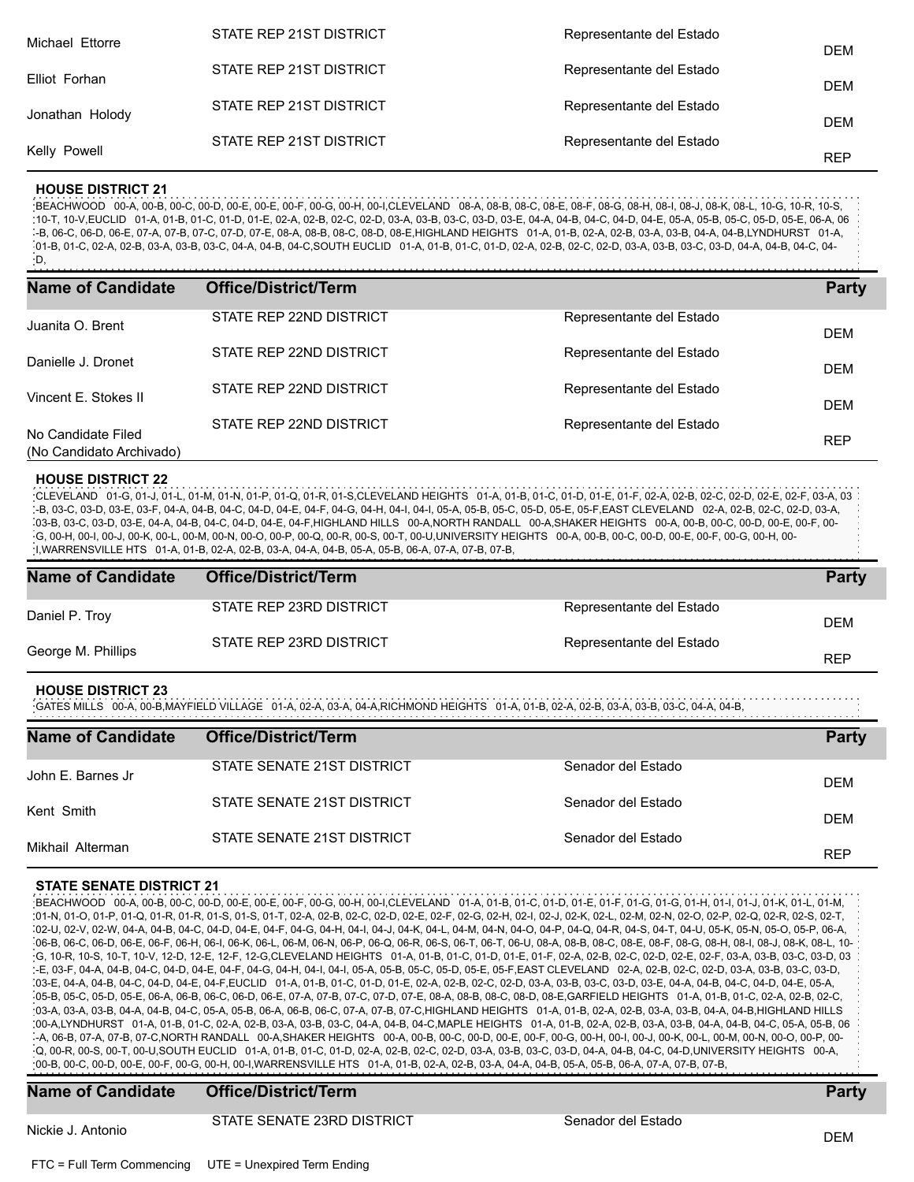| Michael Ettorre | STATE REP 21ST DISTRICT | Representante del Estado | <b>DEM</b> |
|-----------------|-------------------------|--------------------------|------------|
| Elliot Forhan   | STATE REP 21ST DISTRICT | Representante del Estado | <b>DEM</b> |
| Jonathan Holody | STATE REP 21ST DISTRICT | Representante del Estado | <b>DEM</b> |
| Kelly Powell    | STATE REP 21ST DISTRICT | Representante del Estado | <b>REP</b> |
|                 |                         |                          |            |

#### **HOUSE DISTRICT 21**

BEACHWOOD 00-A, 00-B, 00-C, 00-D, 00-E, 00-E, 00-F, 00-G, 00-H, 00-I,CLEVELAND 08-A, 08-B, 08-C, 08-E, 08-F, 08-G, 08-H, 08-I, 08-J, 08-K, 08-L, 10-G, 10-R, 10-S, 10-T, 10-V,EUCLID 01-A, 01-B, 01-C, 01-D, 01-E, 02-A, 02-B, 02-C, 02-D, 03-A, 03-B, 03-C, 03-D, 03-E, 04-A, 04-B, 04-C, 04-D, 04-E, 05-A, 05-B, 05-C, 05-D, 05-E, 06-A, 06 -B, 06-C, 06-D, 06-E, 07-A, 07-B, 07-C, 07-D, 07-E, 08-A, 08-B, 08-C, 08-D, 08-E,HIGHLAND HEIGHTS 01-A, 01-B, 02-A, 02-B, 03-A, 03-B, 04-A, 04-B,LYNDHURST 01-A, 01-B, 01-C, 02-A, 02-B, 03-A, 03-B, 03-C, 04-A, 04-B, 04-C,SOUTH EUCLID 01-A, 01-B, 01-C, 01-D, 02-A, 02-B, 02-C, 02-D, 03-A, 03-B, 03-C, 03-D, 04-A, 04-B, 04-C, 04- D,

| <b>Name of Candidate</b>                       | <b>Office/District/Term</b> |                          | <b>Party</b> |
|------------------------------------------------|-----------------------------|--------------------------|--------------|
| Juanita O. Brent                               | STATE REP 22ND DISTRICT     | Representante del Estado | <b>DEM</b>   |
| Danielle J. Dronet                             | STATE REP 22ND DISTRICT     | Representante del Estado | <b>DEM</b>   |
| Vincent E. Stokes II                           | STATE REP 22ND DISTRICT     | Representante del Estado | <b>DEM</b>   |
| No Candidate Filed<br>(No Candidato Archivado) | STATE REP 22ND DISTRICT     | Representante del Estado | <b>REP</b>   |

#### **HOUSE DISTRICT 22**

CLEVELAND 01-G, 01-J, 01-L, 01-M, 01-N, 01-P, 01-Q, 01-R, 01-S,CLEVELAND HEIGHTS 01-A, 01-B, 01-C, 01-D, 01-E, 01-F, 02-A, 02-B, 02-C, 02-D, 02-E, 02-F, 03-A, 03 -B, 03-C, 03-D, 03-E, 03-F, 04-A, 04-B, 04-C, 04-D, 04-E, 04-F, 04-G, 04-H, 04-I, 04-I, 05-A, 05-B, 05-C, 05-D, 05-E, 05-F,EAST CLEVELAND 02-A, 02-B, 02-C, 02-D, 03-A, 03-B, 03-C, 03-D, 03-E, 04-A, 04-B, 04-C, 04-D, 04-E, 04-F,HIGHLAND HILLS 00-A,NORTH RANDALL 00-A,SHAKER HEIGHTS 00-A, 00-B, 00-C, 00-D, 00-E, 00-F, 00- G, 00-H, 00-I, 00-J, 00-K, 00-L, 00-M, 00-N, 00-O, 00-P, 00-Q, 00-R, 00-S, 00-T, 00-U,UNIVERSITY HEIGHTS 00-A, 00-B, 00-C, 00-D, 00-E, 00-F, 00-G, 00-H, 00- I,WARRENSVILLE HTS 01-A, 01-B, 02-A, 02-B, 03-A, 04-A, 04-B, 05-A, 05-B, 06-A, 07-A, 07-B, 07-B,

| <b>Name of Candidate</b> | Office/District/Term    |                          | <b>Party</b> |
|--------------------------|-------------------------|--------------------------|--------------|
| Daniel P. Troy           | STATE REP 23RD DISTRICT | Representante del Estado | <b>DEM</b>   |
| George M. Phillips       | STATE REP 23RD DISTRICT | Representante del Estado | <b>REP</b>   |

#### **HOUSE DISTRICT 23**

GATES MILLS 00-A, 00-B,MAYFIELD VILLAGE 01-A, 02-A, 03-A, 04-A,RICHMOND HEIGHTS 01-A, 01-B, 02-A, 02-B, 03-A, 03-B, 03-C, 04-A, 04-B,

| <b>Name of Candidate</b> | <b>Office/District/Term</b> |                    | <b>Party</b> |
|--------------------------|-----------------------------|--------------------|--------------|
| John E. Barnes Jr        | STATE SENATE 21ST DISTRICT  | Senador del Estado | <b>DEM</b>   |
| Kent Smith               | STATE SENATE 21ST DISTRICT  | Senador del Estado |              |
| Mikhail Alterman         | STATE SENATE 21ST DISTRICT  | Senador del Estado | <b>DEM</b>   |
|                          |                             |                    | <b>REP</b>   |

#### **STATE SENATE DISTRICT 21**

BEACHWOOD 00-A, 00-B, 00-C, 00-D, 00-E, 00-E, 00-F, 00-G, 00-H, 00-I,CLEVELAND 01-A, 01-B, 01-C, 01-D, 01-E, 01-F, 01-G, 01-G, 01-H, 01-I, 01-J, 01-K, 01-L, 01-M, 01-N, 01-O, 01-P, 01-Q, 01-R, 01-R, 01-S, 01-S, 01-T, 02-A, 02-B, 02-C, 02-D, 02-E, 02-F, 02-G, 02-H, 02-I, 02-J, 02-K, 02-L, 02-M, 02-N, 02-O, 02-P, 02-Q, 02-R, 02-S, 02-T, 02-U, 02-V, 02-W, 04-A, 04-B, 04-C, 04-D, 04-E, 04-F, 04-G, 04-H, 04-I, 04-J, 04-K, 04-L, 04-M, 04-N, 04-O, 04-P, 04-Q, 04-R, 04-S, 04-T, 04-U, 05-K, 05-N, 05-O, 05-P, 06-A, 06-B, 06-C, 06-D, 06-E, 06-F, 06-H, 06-I, 06-K, 06-L, 06-M, 06-N, 06-P, 06-Q, 06-R, 06-S, 06-T, 06-T, 06-U, 08-A, 08-B, 08-C, 08-E, 08-F, 08-G, 08-H, 08-I, 08-J, 08-K, 08-L, 10- G, 10-R, 10-S, 10-T, 10-V, 12-D, 12-E, 12-F, 12-G,CLEVELAND HEIGHTS 01-A, 01-B, 01-C, 01-D, 01-E, 01-F, 02-A, 02-B, 02-C, 02-D, 02-E, 02-F, 03-A, 03-B, 03-C, 03-D, 03 -E, 03-F, 04-A, 04-B, 04-C, 04-D, 04-E, 04-F, 04-G, 04-H, 04-I, 04-I, 05-A, 05-B, 05-C, 05-D, 05-E, 05-F,EAST CLEVELAND 02-A, 02-B, 02-C, 02-D, 03-A, 03-B, 03-C, 03-D, 03-E, 04-A, 04-B, 04-C, 04-D, 04-E, 04-F,EUCLID 01-A, 01-B, 01-C, 01-D, 01-E, 02-A, 02-B, 02-C, 02-D, 03-A, 03-B, 03-C, 03-D, 03-E, 04-A, 04-B, 04-C, 04-D, 04-E, 05-A, 05-B, 05-C, 05-D, 05-E, 06-A, 06-B, 06-C, 06-D, 06-E, 07-A, 07-B, 07-C, 07-D, 07-E, 08-A, 08-B, 08-C, 08-D, 08-E,GARFIELD HEIGHTS 01-A, 01-B, 01-C, 02-A, 02-B, 02-C, 03-A, 03-A, 03-B, 04-A, 04-B, 04-C, 05-A, 05-B, 06-A, 06-B, 06-C, 07-A, 07-B, 07-C,HIGHLAND HEIGHTS 01-A, 01-B, 02-A, 02-B, 03-A, 03-B, 04-A, 04-B,HIGHLAND HILLS 00-A,LYNDHURST 01-A, 01-B, 01-C, 02-A, 02-B, 03-A, 03-B, 03-C, 04-A, 04-B, 04-C,MAPLE HEIGHTS 01-A, 01-B, 02-A, 02-B, 03-A, 03-B, 04-A, 04-B, 04-C, 05-A, 05-B, 06 -A, 06-B, 07-A, 07-B, 07-C,NORTH RANDALL 00-A,SHAKER HEIGHTS 00-A, 00-B, 00-C, 00-D, 00-E, 00-F, 00-G, 00-H, 00-I, 00-J, 00-K, 00-L, 00-M, 00-N, 00-O, 00-P, 00- Q, 00-R, 00-S, 00-T, 00-U,SOUTH EUCLID 01-A, 01-B, 01-C, 01-D, 02-A, 02-B, 02-C, 02-D, 03-A, 03-B, 03-C, 03-D, 04-A, 04-B, 04-C, 04-D,UNIVERSITY HEIGHTS 00-A, 00-B, 00-C, 00-D, 00-E, 00-F, 00-G, 00-H, 00-I,WARRENSVILLE HTS 01-A, 01-B, 02-A, 02-B, 03-A, 04-A, 04-B, 05-A, 05-B, 06-A, 07-A, 07-B, 07-B,

## **Name of Candidate Office/District/Term Party**

Nickie J. Antonio **Productivistic Control Democratic Production** Conductivistic DEM<br>DEM

STATE SENATE 23RD DISTRICT STATE Senador del Estado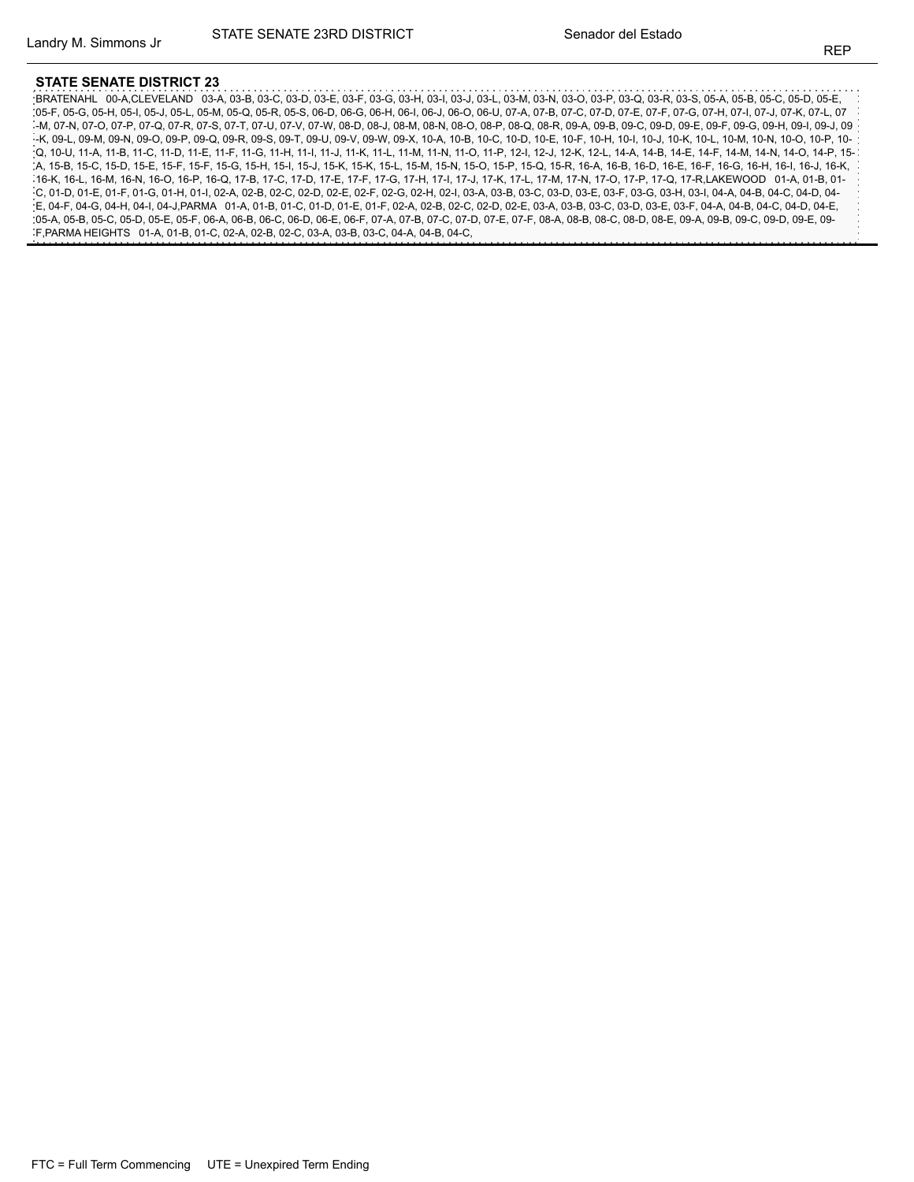BRATENAHL 00-A,CLEVELAND 03-A, 03-B, 03-C, 03-D, 03-E, 03-F, 03-G, 03-H, 03-I, 03-J, 03-L, 03-M, 03-N, 03-O, 03-P, 03-Q, 03-R, 03-S, 05-A, 05-B, 05-C, 05-D, 05-E, 05-F, 05-G, 05-H, 05-I, 05-J, 05-L, 05-M, 05-Q, 05-R, 05-S, 06-D, 06-G, 06-H, 06-I, 06-J, 06-O, 06-U, 07-A, 07-B, 07-C, 07-D, 07-E, 07-F, 07-G, 07-H, 07-I, 07-J, 07-K, 07-L, 07 -M, 07-N, 07-O, 07-P, 07-Q, 07-R, 07-S, 07-T, 07-U, 07-V, 07-W, 08-D, 08-J, 08-M, 08-N, 08-O, 08-P, 08-Q, 08-R, 09-A, 09-B, 09-C, 09-D, 09-E, 09-F, 09-G, 09-H, 09-I, 09-J, 09 -K, 09-L, 09-M, 09-N, 09-O, 09-P, 09-Q, 09-R, 09-S, 09-T, 09-U, 09-V, 09-W, 09-X, 10-A, 10-B, 10-C, 10-D, 10-E, 10-F, 10-H, 10-I, 10-J, 10-K, 10-L, 10-M, 10-N, 10-O, 10-P, 10- Q, 10-U, 11-A, 11-B, 11-C, 11-D, 11-E, 11-F, 11-G, 11-H, 11-I, 11-J, 11-K, 11-L, 11-M, 11-N, 11-O, 11-P, 12-I, 12-J, 12-K, 12-L, 14-A, 14-B, 14-E, 14-F, 14-M, 14-N, 14-O, 14-P, 15- A, 15-B, 15-C, 15-D, 15-E, 15-F, 15-F, 15-G, 15-H, 15-I, 15-J, 15-K, 15-K, 15-L, 15-M, 15-N, 15-O, 15-P, 15-Q, 15-R, 16-A, 16-B, 16-D, 16-E, 16-F, 16-G, 16-H, 16-I, 16-J, 16-K, 16-K, 16-L, 16-M, 16-N, 16-O, 16-P, 16-Q, 17-B, 17-C, 17-D, 17-E, 17-F, 17-G, 17-H, 17-I, 17-J, 17-K, 17-L, 17-M, 17-N, 17-O, 17-P, 17-Q, 17-R,LAKEWOOD 01-A, 01-B, 01- C, 01-D, 01-E, 01-F, 01-G, 01-H, 01-I, 02-A, 02-B, 02-C, 02-D, 02-E, 02-F, 02-G, 02-H, 02-I, 03-A, 03-B, 03-C, 03-D, 03-E, 03-F, 03-G, 03-H, 03-I, 04-A, 04-B, 04-C, 04-D, 04- E, 04-F, 04-G, 04-H, 04-I, 04-J,PARMA 01-A, 01-B, 01-C, 01-D, 01-E, 01-F, 02-A, 02-B, 02-C, 02-D, 02-E, 03-A, 03-B, 03-C, 03-D, 03-E, 03-F, 04-A, 04-B, 04-C, 04-D, 04-E, 05-A, 05-B, 05-C, 05-D, 05-E, 05-F, 06-A, 06-B, 06-C, 06-D, 06-E, 06-F, 07-A, 07-B, 07-C, 07-D, 07-E, 07-F, 08-A, 08-B, 08-C, 08-D, 08-E, 09-A, 09-B, 09-C, 09-D, 09-E, 09- F,PARMA HEIGHTS 01-A, 01-B, 01-C, 02-A, 02-B, 02-C, 03-A, 03-B, 03-C, 04-A, 04-B, 04-C,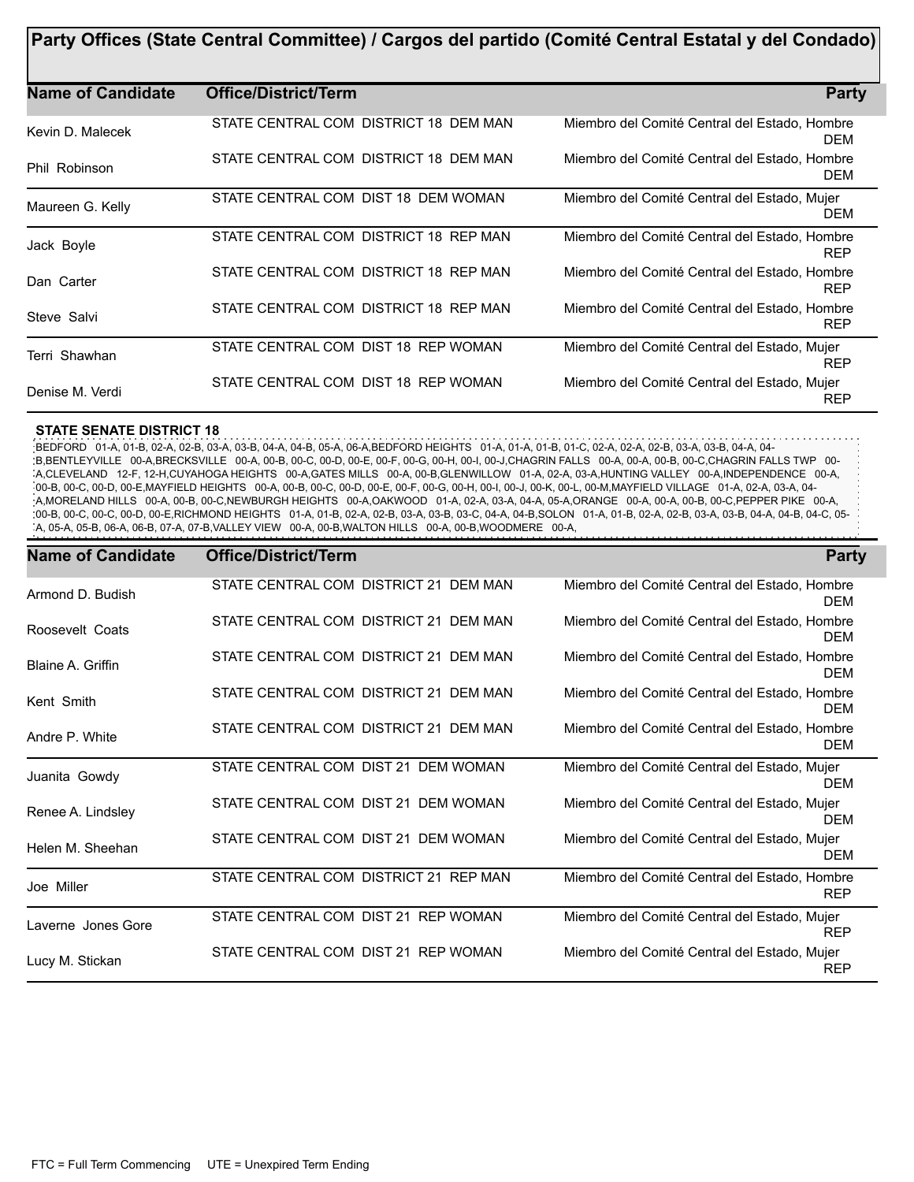| Party Offices (State Central Committee) / Cargos del partido (Comité Central Estatal y del Condado) |                                       |                                                             |
|-----------------------------------------------------------------------------------------------------|---------------------------------------|-------------------------------------------------------------|
| <b>Name of Candidate</b>                                                                            | <b>Office/District/Term</b>           | <b>Party</b>                                                |
| Kevin D. Malecek                                                                                    | STATE CENTRAL COM DISTRICT 18 DEM MAN | Miembro del Comité Central del Estado, Hombre<br><b>DEM</b> |
| Phil Robinson                                                                                       | STATE CENTRAL COM DISTRICT 18 DEM MAN | Miembro del Comité Central del Estado, Hombre<br>DEM        |
| Maureen G. Kelly                                                                                    | STATE CENTRAL COM DIST 18 DEM WOMAN   | Miembro del Comité Central del Estado, Mujer<br><b>DEM</b>  |
| Jack Boyle                                                                                          | STATE CENTRAL COM DISTRICT 18 REP MAN | Miembro del Comité Central del Estado, Hombre<br><b>REP</b> |
| Dan Carter                                                                                          | STATE CENTRAL COM DISTRICT 18 REP MAN | Miembro del Comité Central del Estado, Hombre<br><b>REP</b> |
| Steve Salvi                                                                                         | STATE CENTRAL COM DISTRICT 18 REP MAN | Miembro del Comité Central del Estado, Hombre<br><b>REP</b> |
| Terri Shawhan                                                                                       | STATE CENTRAL COM DIST 18 REP WOMAN   | Miembro del Comité Central del Estado, Mujer<br><b>REP</b>  |
| Denise M. Verdi                                                                                     | STATE CENTRAL COM DIST 18 REP WOMAN   | Miembro del Comité Central del Estado, Mujer<br><b>REP</b>  |

BEDFORD 01-A, 01-B, 02-A, 02-B, 03-A, 03-B, 04-A, 04-B, 05-A, 06-A,BEDFORD HEIGHTS 01-A, 01-A, 01-B, 01-C, 02-A, 02-A, 02-B, 03-A, 03-B, 04-A, 04- B,BENTLEYVILLE 00-A,BRECKSVILLE 00-A, 00-B, 00-C, 00-D, 00-E, 00-F, 00-G, 00-H, 00-I, 00-J,CHAGRIN FALLS 00-A, 00-A, 00-B, 00-C,CHAGRIN FALLS TWP 00- A,CLEVELAND 12-F, 12-H,CUYAHOGA HEIGHTS 00-A,GATES MILLS 00-A, 00-B,GLENWILLOW 01-A, 02-A, 03-A,HUNTING VALLEY 00-A,INDEPENDENCE 00-A, 00-B, 00-C, 00-D, 00-E,MAYFIELD HEIGHTS 00-A, 00-B, 00-C, 00-D, 00-E, 00-F, 00-G, 00-H, 00-I, 00-J, 00-K, 00-L, 00-M,MAYFIELD VILLAGE 01-A, 02-A, 03-A, 04- A,MORELAND HILLS 00-A, 00-B, 00-C,NEWBURGH HEIGHTS 00-A,OAKWOOD 01-A, 02-A, 03-A, 04-A, 05-A,ORANGE 00-A, 00-A, 00-B, 00-C,PEPPER PIKE 00-A, :00-B, 00-C, 00-C, 00-D, 00-E,RICHMOND HEIGHTS 01-A, 01-B, 02-A, 02-B, 03-A, 03-B, 03-C, 04-A, 04-B, SOLON 01-A, 01-B, 02-A, 02-B, 03-A, 03-B, 04-A, 04-B, 04-C, 05-A, 05-A, 05-B, 06-A, 06-B, 07-A, 07-B,VALLEY VIEW 00-A, 00-B,WALTON HILLS 00-A, 00-B,WOODMERE 00-A,

| <b>Name of Candidate</b> | <b>Office/District/Term</b>           | <b>Party</b>                                                |
|--------------------------|---------------------------------------|-------------------------------------------------------------|
| Armond D. Budish         | STATE CENTRAL COM DISTRICT 21 DEM MAN | Miembro del Comité Central del Estado, Hombre<br><b>DEM</b> |
| Roosevelt Coats          | STATE CENTRAL COM DISTRICT 21 DEM MAN | Miembro del Comité Central del Estado, Hombre<br><b>DEM</b> |
| Blaine A. Griffin        | STATE CENTRAL COM DISTRICT 21 DEM MAN | Miembro del Comité Central del Estado, Hombre<br><b>DEM</b> |
| Kent Smith               | STATE CENTRAL COM DISTRICT 21 DEM MAN | Miembro del Comité Central del Estado, Hombre<br><b>DEM</b> |
| Andre P. White           | STATE CENTRAL COM DISTRICT 21 DEM MAN | Miembro del Comité Central del Estado, Hombre<br><b>DEM</b> |
| Juanita Gowdy            | STATE CENTRAL COM DIST 21 DEM WOMAN   | Miembro del Comité Central del Estado, Mujer<br><b>DEM</b>  |
| Renee A. Lindsley        | STATE CENTRAL COM DIST 21 DEM WOMAN   | Miembro del Comité Central del Estado, Mujer<br><b>DEM</b>  |
| Helen M. Sheehan         | STATE CENTRAL COM DIST 21 DEM WOMAN   | Miembro del Comité Central del Estado, Mujer<br><b>DEM</b>  |
| Joe Miller               | STATE CENTRAL COM DISTRICT 21 REP MAN | Miembro del Comité Central del Estado, Hombre<br><b>REP</b> |
| Laverne Jones Gore       | STATE CENTRAL COM DIST 21 REP WOMAN   | Miembro del Comité Central del Estado, Mujer<br><b>REP</b>  |
| Lucy M. Stickan          | STATE CENTRAL COM DIST 21 REP WOMAN   | Miembro del Comité Central del Estado, Mujer<br><b>REP</b>  |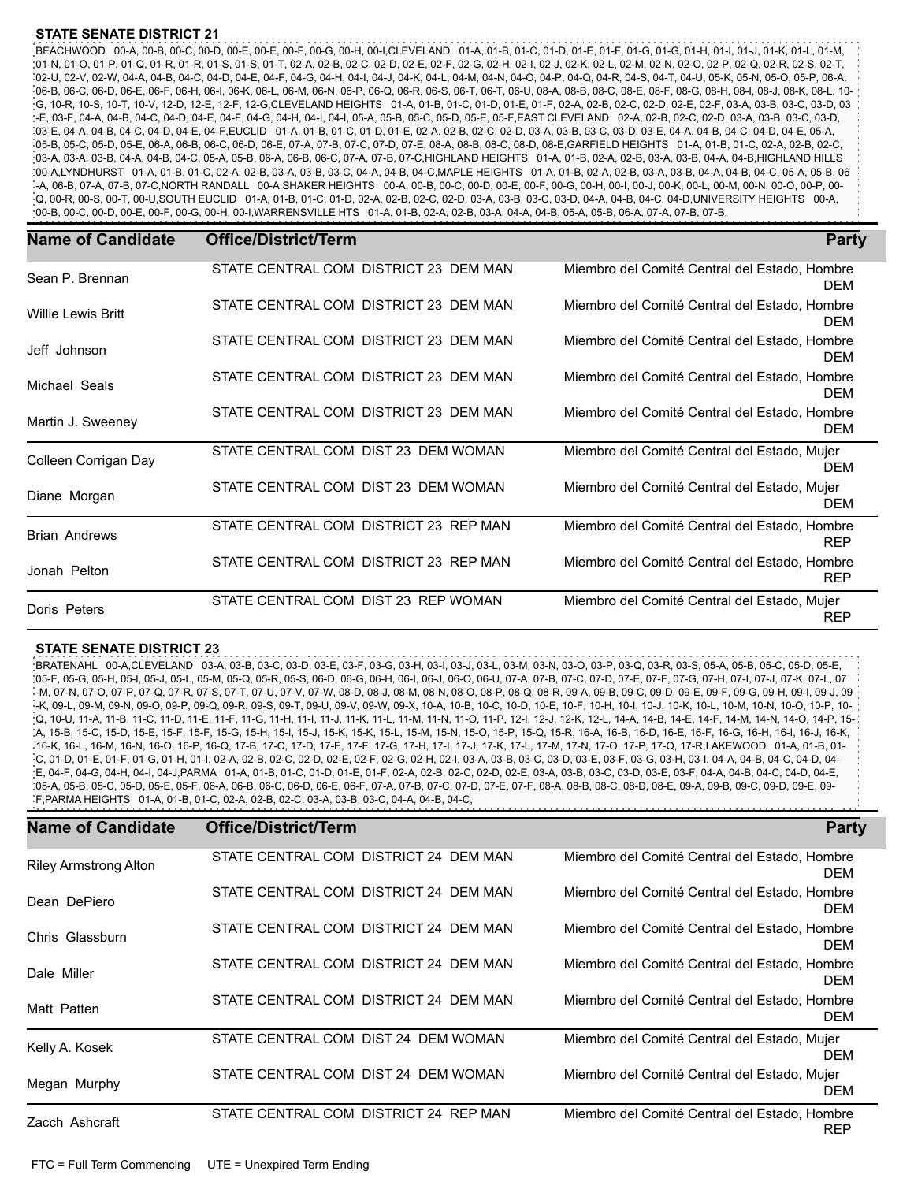BEACHWOOD 00-A, 00-B, 00-C, 00-D, 00-E, 00-E, 00-F, 00-G, 00-H, 00-I,CLEVELAND 01-A, 01-B, 01-C, 01-D, 01-E, 01-F, 01-G, 01-G, 01-H, 01-I, 01-J, 01-K, 01-L, 01-M, 01-N, 01-O, 01-P, 01-Q, 01-R, 01-R, 01-S, 01-S, 01-T, 02-A, 02-B, 02-C, 02-D, 02-E, 02-F, 02-G, 02-H, 02-I, 02-J, 02-K, 02-L, 02-M, 02-N, 02-O, 02-P, 02-Q, 02-R, 02-S, 02-T, 02-U, 02-V, 02-W, 04-A, 04-B, 04-C, 04-D, 04-E, 04-F, 04-G, 04-H, 04-I, 04-J, 04-K, 04-L, 04-M, 04-N, 04-O, 04-P, 04-Q, 04-R, 04-S, 04-T, 04-U, 05-K, 05-N, 05-O, 05-P, 06-A, 06-B, 06-C, 06-D, 06-E, 06-F, 06-H, 06-I, 06-K, 06-L, 06-M, 06-N, 06-P, 06-Q, 06-R, 06-S, 06-T, 06-T, 06-U, 08-A, 08-B, 08-C, 08-E, 08-F, 08-G, 08-H, 08-I, 08-J, 08-K, 08-L, 10- G, 10-R, 10-S, 10-T, 10-V, 12-D, 12-E, 12-F, 12-G,CLEVELAND HEIGHTS 01-A, 01-B, 01-C, 01-D, 01-E, 01-F, 02-A, 02-B, 02-C, 02-D, 02-E, 02-F, 03-A, 03-B, 03-C, 03-D, 03 -E, 03-F, 04-A, 04-B, 04-C, 04-D, 04-E, 04-F, 04-G, 04-H, 04-I, 04-I, 05-A, 05-B, 05-C, 05-D, 05-E, 05-F,EAST CLEVELAND 02-A, 02-B, 02-C, 02-D, 03-A, 03-B, 03-C, 03-D, 03-E, 04-A, 04-B, 04-C, 04-D, 04-E, 04-F,EUCLID 01-A, 01-B, 01-C, 01-D, 01-E, 02-A, 02-B, 02-C, 02-D, 03-A, 03-B, 03-C, 03-D, 03-E, 04-A, 04-B, 04-C, 04-D, 04-E, 05-A, 05-B, 05-C, 05-D, 05-E, 06-A, 06-B, 06-C, 06-D, 06-E, 07-A, 07-B, 07-C, 07-D, 07-E, 08-A, 08-B, 08-C, 08-D, 08-E,GARFIELD HEIGHTS 01-A, 01-B, 01-C, 02-A, 02-B, 02-C, 03-A, 03-A, 03-B, 04-A, 04-B, 04-C, 05-A, 05-B, 06-A, 06-B, 06-C, 07-A, 07-B, 07-C,HIGHLAND HEIGHTS 01-A, 01-B, 02-A, 02-B, 03-A, 03-B, 04-A, 04-B,HIGHLAND HILLS 00-A,LYNDHURST 01-A, 01-B, 01-C, 02-A, 02-B, 03-A, 03-B, 03-C, 04-A, 04-B, 04-C,MAPLE HEIGHTS 01-A, 01-B, 02-A, 02-B, 03-A, 03-B, 04-A, 04-B, 04-C, 05-A, 05-B, 06 -A, 06-B, 07-A, 07-B, 07-C,NORTH RANDALL 00-A,SHAKER HEIGHTS 00-A, 00-B, 00-C, 00-D, 00-E, 00-F, 00-G, 00-H, 00-I, 00-J, 00-K, 00-L, 00-M, 00-N, 00-O, 00-P, 00- Q, 00-R, 00-S, 00-T, 00-U,SOUTH EUCLID 01-A, 01-B, 01-C, 01-D, 02-A, 02-B, 02-C, 02-D, 03-A, 03-B, 03-C, 03-D, 04-A, 04-B, 04-C, 04-D,UNIVERSITY HEIGHTS 00-A, 00-B, 00-C, 00-D, 00-E, 00-F, 00-G, 00-H, 00-I,WARRENSVILLE HTS 01-A, 01-B, 02-A, 02-B, 03-A, 04-A, 04-B, 05-A, 05-B, 06-A, 07-A, 07-B, 07-B,

| <b>Name of Candidate</b>  | <b>Office/District/Term</b>           | <b>Party</b>                                                |
|---------------------------|---------------------------------------|-------------------------------------------------------------|
| Sean P. Brennan           | STATE CENTRAL COM DISTRICT 23 DEM MAN | Miembro del Comité Central del Estado, Hombre<br><b>DFM</b> |
| <b>Willie Lewis Britt</b> | STATE CENTRAL COM DISTRICT 23 DEM MAN | Miembro del Comité Central del Estado, Hombre<br><b>DEM</b> |
| Jeff Johnson              | STATE CENTRAL COM DISTRICT 23 DEM MAN | Miembro del Comité Central del Estado, Hombre<br><b>DEM</b> |
| Michael Seals             | STATE CENTRAL COM DISTRICT 23 DEM MAN | Miembro del Comité Central del Estado, Hombre<br>DEM        |
| Martin J. Sweeney         | STATE CENTRAL COM DISTRICT 23 DEM MAN | Miembro del Comité Central del Estado, Hombre<br><b>DEM</b> |
| Colleen Corrigan Day      | STATE CENTRAL COM DIST 23 DEM WOMAN   | Miembro del Comité Central del Estado, Mujer<br><b>DEM</b>  |
| Diane Morgan              | STATE CENTRAL COM DIST 23 DEM WOMAN   | Miembro del Comité Central del Estado, Mujer<br><b>DEM</b>  |
| <b>Brian Andrews</b>      | STATE CENTRAL COM DISTRICT 23 REP MAN | Miembro del Comité Central del Estado, Hombre<br><b>REP</b> |
| Jonah Pelton              | STATE CENTRAL COM DISTRICT 23 REP MAN | Miembro del Comité Central del Estado, Hombre<br><b>REP</b> |
| Doris Peters              | STATE CENTRAL COM DIST 23 REP WOMAN   | Miembro del Comité Central del Estado, Mujer<br><b>REP</b>  |

#### **STATE SENATE DISTRICT 23**

BRATENAHL 00-A,CLEVELAND 03-A, 03-B, 03-C, 03-D, 03-E, 03-F, 03-G, 03-H, 03-I, 03-J, 03-L, 03-M, 03-N, 03-O, 03-P, 03-Q, 03-R, 03-S, 05-A, 05-B, 05-C, 05-D, 05-E, 05-F, 05-G, 05-H, 05-I, 05-J, 05-L, 05-M, 05-Q, 05-R, 05-S, 06-D, 06-G, 06-H, 06-I, 06-J, 06-O, 06-U, 07-A, 07-B, 07-C, 07-D, 07-E, 07-F, 07-G, 07-H, 07-I, 07-J, 07-K, 07-L, 07 -M, 07-N, 07-O, 07-P, 07-Q, 07-R, 07-S, 07-T, 07-U, 07-V, 07-W, 08-D, 08-J, 08-M, 08-N, 08-O, 08-P, 08-Q, 08-R, 09-A, 09-B, 09-C, 09-D, 09-E, 09-F, 09-G, 09-H, 09-I, 09-J, 09 -K, 09-L, 09-M, 09-N, 09-O, 09-P, 09-Q, 09-R, 09-S, 09-T, 09-U, 09-V, 09-W, 09-X, 10-A, 10-B, 10-C, 10-D, 10-E, 10-F, 10-H, 10-I, 10-J, 10-K, 10-L, 10-M, 10-N, 10-O, 10-P, 10- Q, 10-U, 11-A, 11-B, 11-C, 11-D, 11-E, 11-F, 11-G, 11-H, 11-I, 11-J, 11-K, 11-L, 11-M, 11-N, 11-O, 11-P, 12-I, 12-J, 12-K, 12-L, 14-A, 14-B, 14-E, 14-F, 14-M, 14-N, 14-O, 14-P, 15- A, 15-B, 15-C, 15-D, 15-E, 15-F, 15-F, 15-G, 15-H, 15-I, 15-J, 15-K, 15-K, 15-L, 15-M, 15-N, 15-O, 15-P, 15-Q, 15-R, 16-A, 16-B, 16-D, 16-E, 16-F, 16-G, 16-H, 16-I, 16-J, 16-K, 16-K, 16-L, 16-M, 16-N, 16-O, 16-P, 16-Q, 17-B, 17-C, 17-D, 17-E, 17-F, 17-G, 17-H, 17-I, 17-J, 17-K, 17-L, 17-M, 17-N, 17-O, 17-P, 17-Q, 17-R,LAKEWOOD 01-A, 01-B, 01- C, 01-D, 01-E, 01-F, 01-G, 01-H, 01-I, 02-A, 02-B, 02-C, 02-D, 02-E, 02-F, 02-G, 02-H, 02-I, 03-A, 03-B, 03-C, 03-D, 03-E, 03-F, 03-G, 03-H, 03-I, 04-A, 04-B, 04-C, 04-D, 04- E, 04-F, 04-G, 04-H, 04-I, 04-J,PARMA 01-A, 01-B, 01-C, 01-D, 01-E, 01-F, 02-A, 02-B, 02-C, 02-D, 02-E, 03-A, 03-B, 03-C, 03-D, 03-E, 03-F, 04-A, 04-B, 04-C, 04-D, 04-E, 05-A, 05-B, 05-C, 05-D, 05-E, 05-F, 06-A, 06-B, 06-C, 06-D, 06-E, 06-F, 07-A, 07-B, 07-C, 07-D, 07-E, 07-F, 08-A, 08-B, 08-C, 08-D, 08-E, 09-A, 09-B, 09-C, 09-D, 09-E, 09- F,PARMA HEIGHTS 01-A, 01-B, 01-C, 02-A, 02-B, 02-C, 03-A, 03-B, 03-C, 04-A, 04-B, 04-C,

| <b>Name of Candidate</b>     | <b>Office/District/Term</b>           | <b>Party</b>                                                |
|------------------------------|---------------------------------------|-------------------------------------------------------------|
| <b>Riley Armstrong Alton</b> | STATE CENTRAL COM DISTRICT 24 DEM MAN | Miembro del Comité Central del Estado, Hombre<br><b>DEM</b> |
| Dean DePiero                 | STATE CENTRAL COM DISTRICT 24 DEM MAN | Miembro del Comité Central del Estado, Hombre<br><b>DEM</b> |
| Chris Glassburn              | STATE CENTRAL COM DISTRICT 24 DEM MAN | Miembro del Comité Central del Estado, Hombre<br><b>DEM</b> |
| Dale Miller                  | STATE CENTRAL COM DISTRICT 24 DEM MAN | Miembro del Comité Central del Estado, Hombre<br><b>DEM</b> |
| Matt Patten                  | STATE CENTRAL COM DISTRICT 24 DEM MAN | Miembro del Comité Central del Estado, Hombre<br><b>DEM</b> |
| Kelly A. Kosek               | STATE CENTRAL COM DIST 24 DEM WOMAN   | Miembro del Comité Central del Estado, Mujer<br><b>DEM</b>  |
| Megan Murphy                 | STATE CENTRAL COM DIST 24 DEM WOMAN   | Miembro del Comité Central del Estado, Mujer<br><b>DEM</b>  |
| Zacch Ashcraft               | STATE CENTRAL COM DISTRICT 24 REP MAN | Miembro del Comité Central del Estado, Hombre<br><b>REP</b> |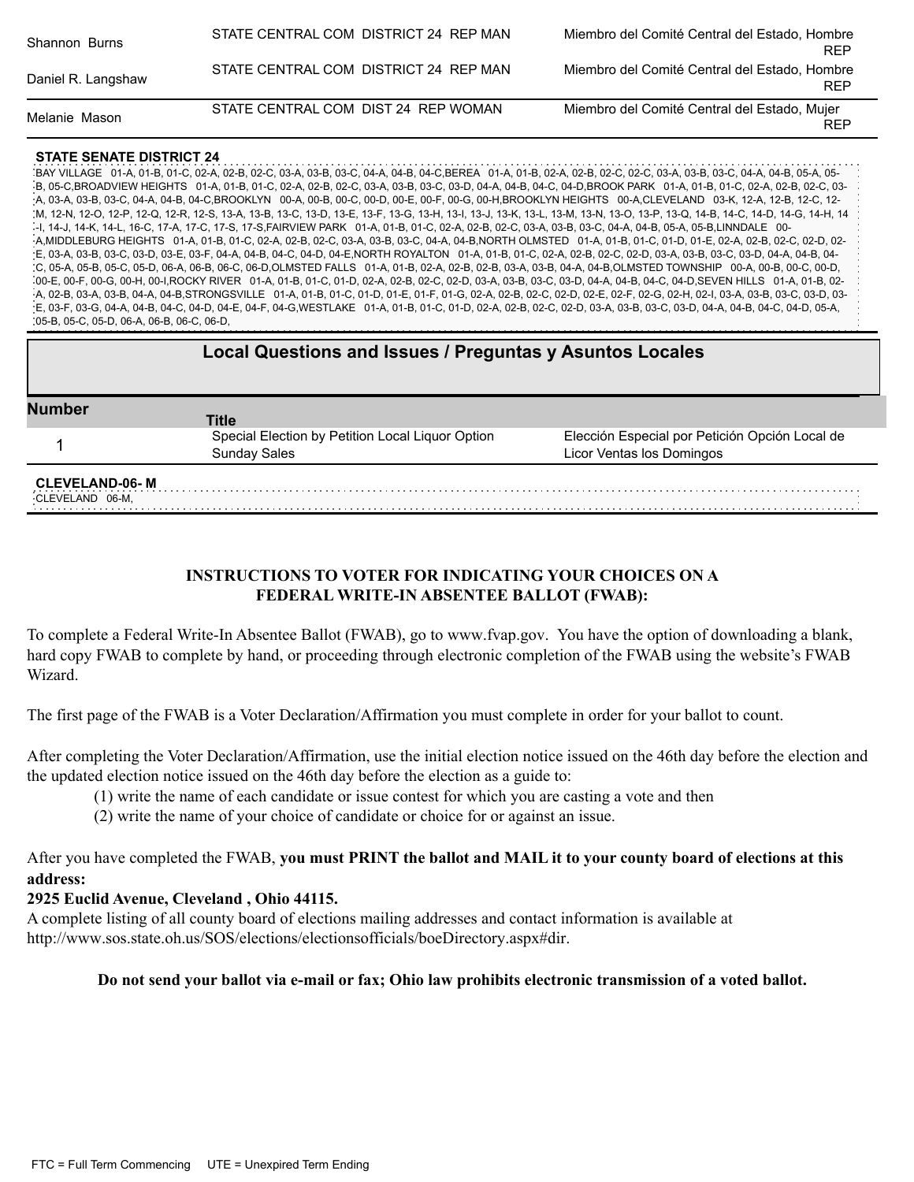| Shannon Burns      | STATE CENTRAL COM DISTRICT 24 REP MAN | Miembro del Comité Central del Estado, Hombre<br><b>REP</b> |
|--------------------|---------------------------------------|-------------------------------------------------------------|
| Daniel R. Langshaw | STATE CENTRAL COM DISTRICT 24 REP MAN | Miembro del Comité Central del Estado, Hombre<br><b>REP</b> |
| Melanie Mason      | STATE CENTRAL COM DIST 24 REP WOMAN   | Miembro del Comité Central del Estado, Mujer<br><b>REP</b>  |

BAY VILLAGE 01-A, 01-B, 01-C, 02-A, 02-B, 02-C, 03-A, 03-B, 03-C, 04-A, 04-B, 04-C,BEREA 01-A, 01-B, 02-A, 02-B, 02-C, 02-C, 03-A, 03-B, 03-C, 04-A, 04-B, 05-A, 05- B, 05-C,BROADVIEW HEIGHTS 01-A, 01-B, 01-C, 02-A, 02-B, 02-C, 03-A, 03-B, 03-C, 03-D, 04-A, 04-B, 04-C, 04-D,BROOK PARK 01-A, 01-B, 01-C, 02-A, 02-B, 02-C, 03- A, 03-A, 03-B, 03-C, 04-A, 04-B, 04-C,BROOKLYN 00-A, 00-B, 00-C, 00-D, 00-E, 00-F, 00-G, 00-H,BROOKLYN HEIGHTS 00-A,CLEVELAND 03-K, 12-A, 12-B, 12-C, 12- M, 12-N, 12-O, 12-P, 12-Q, 12-R, 12-S, 13-A, 13-B, 13-C, 13-D, 13-E, 13-F, 13-G, 13-H, 13-I, 13-J, 13-K, 13-L, 13-M, 13-N, 13-O, 13-P, 13-Q, 14-B, 14-C, 14-D, 14-G, 14-H, 14 -I, 14-J, 14-K, 14-L, 16-C, 17-A, 17-C, 17-S, 17-S,FAIRVIEW PARK 01-A, 01-B, 01-C, 02-A, 02-B, 02-C, 03-A, 03-B, 03-C, 04-A, 04-B, 05-A, 05-B,LINNDALE 00- .<br>- A,MIDDLEBURG HEIGHTS 01-A, 01-B, 01-C, 02-A, 02-B, 02-C, 03-A, 03-B, 03-C, 04-A, 04-B,NORTH OLMSTED 01-A, 01-B, 01-C, 01-D, 01-E, 02-A, 02-B, 02-C, 02-D, 02-D, E, 03-A, 03-B, 03-C, 03-D, 03-E, 03-F, 04-A, 04-B, 04-C, 04-D, 04-E,NORTH ROYALTON 01-A, 01-B, 01-C, 02-A, 02-B, 02-C, 02-D, 03-A, 03-B, 03-C, 03-D, 04-A, 04-B, 04- C, 05-A, 05-B, 05-C, 05-D, 06-A, 06-B, 06-C, 06-D,OLMSTED FALLS 01-A, 01-B, 02-A, 02-B, 02-B, 03-A, 03-B, 04-A, 04-B,OLMSTED TOWNSHIP 00-A, 00-B, 00-C, 00-D, 00-E, 00-F, 00-G, 00-H, 00-I,ROCKY RIVER 01-A, 01-B, 01-C, 01-D, 02-A, 02-B, 02-C, 02-D, 03-A, 03-B, 03-C, 03-D, 04-A, 04-B, 04-C, 04-D,SEVEN HILLS 01-A, 01-B, 02- A, 02-B, 03-A, 03-B, 04-A, 04-B,STRONGSVILLE 01-A, 01-B, 01-C, 01-D, 01-E, 01-F, 01-G, 02-A, 02-B, 02-C, 02-D, 02-E, 02-F, 02-G, 02-H, 02-I, 03-A, 03-B, 03-C, 03-D, 03- E, 03-F, 03-G, 04-A, 04-B, 04-C, 04-D, 04-E, 04-F, 04-G,WESTLAKE 01-A, 01-B, 01-C, 01-D, 02-A, 02-B, 02-C, 02-D, 03-A, 03-B, 03-C, 03-D, 04-A, 04-B, 04-C, 04-D, 05-A, 05-B, 05-C, 05-D, 06-A, 06-B, 06-C, 06-D,

| <b>Local Questions and Issues / Preguntas y Asuntos Locales</b> |                                                                         |                                                                             |
|-----------------------------------------------------------------|-------------------------------------------------------------------------|-----------------------------------------------------------------------------|
| <b>Number</b>                                                   | <b>Title</b>                                                            |                                                                             |
|                                                                 | Special Election by Petition Local Liquor Option<br><b>Sunday Sales</b> | Elección Especial por Petición Opción Local de<br>Licor Ventas los Domingos |
| <b>CLEVELAND-06-M</b><br>CLEVELAND 06-M.                        |                                                                         |                                                                             |

## **INSTRUCTIONS TO VOTER FOR INDICATING YOUR CHOICES ON A FEDERAL WRITE-IN ABSENTEE BALLOT (FWAB):**

To complete a Federal Write-In Absentee Ballot (FWAB), go to www.fvap.gov. You have the option of downloading a blank, hard copy FWAB to complete by hand, or proceeding through electronic completion of the FWAB using the website's FWAB Wizard.

The first page of the FWAB is a Voter Declaration/Affirmation you must complete in order for your ballot to count.

After completing the Voter Declaration/Affirmation, use the initial election notice issued on the 46th day before the election and the updated election notice issued on the 46th day before the election as a guide to:

- (1) write the name of each candidate or issue contest for which you are casting a vote and then
- (2) write the name of your choice of candidate or choice for or against an issue.

After you have completed the FWAB, **you must PRINT the ballot and MAIL it to your county board of elections at this address:** 

## **2925 Euclid Avenue, Cleveland , Ohio 44115.**

A complete listing of all county board of elections mailing addresses and contact information is available at http://www.sos.state.oh.us/SOS/elections/electionsofficials/boeDirectory.aspx#dir.

## **Do not send your ballot via e-mail or fax; Ohio law prohibits electronic transmission of a voted ballot.**